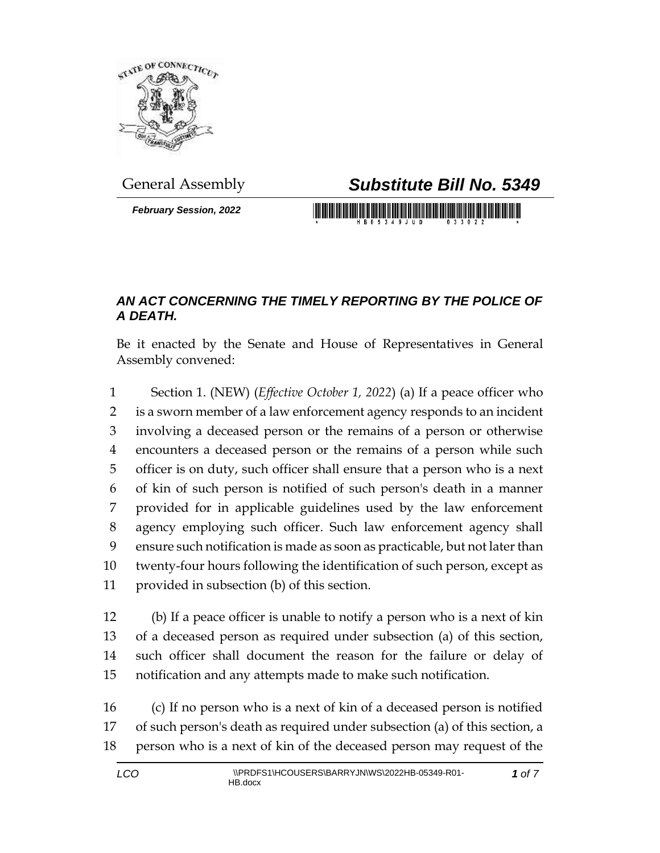

*February Session, 2022*

## General Assembly *Substitute Bill No. 5349*

## *AN ACT CONCERNING THE TIMELY REPORTING BY THE POLICE OF A DEATH.*

Be it enacted by the Senate and House of Representatives in General Assembly convened:

 Section 1. (NEW) (*Effective October 1, 2022*) (a) If a peace officer who is a sworn member of a law enforcement agency responds to an incident involving a deceased person or the remains of a person or otherwise encounters a deceased person or the remains of a person while such officer is on duty, such officer shall ensure that a person who is a next of kin of such person is notified of such person's death in a manner provided for in applicable guidelines used by the law enforcement agency employing such officer. Such law enforcement agency shall ensure such notification is made as soon as practicable, but not later than twenty-four hours following the identification of such person, except as provided in subsection (b) of this section.

 (b) If a peace officer is unable to notify a person who is a next of kin of a deceased person as required under subsection (a) of this section, such officer shall document the reason for the failure or delay of notification and any attempts made to make such notification.

 (c) If no person who is a next of kin of a deceased person is notified of such person's death as required under subsection (a) of this section, a person who is a next of kin of the deceased person may request of the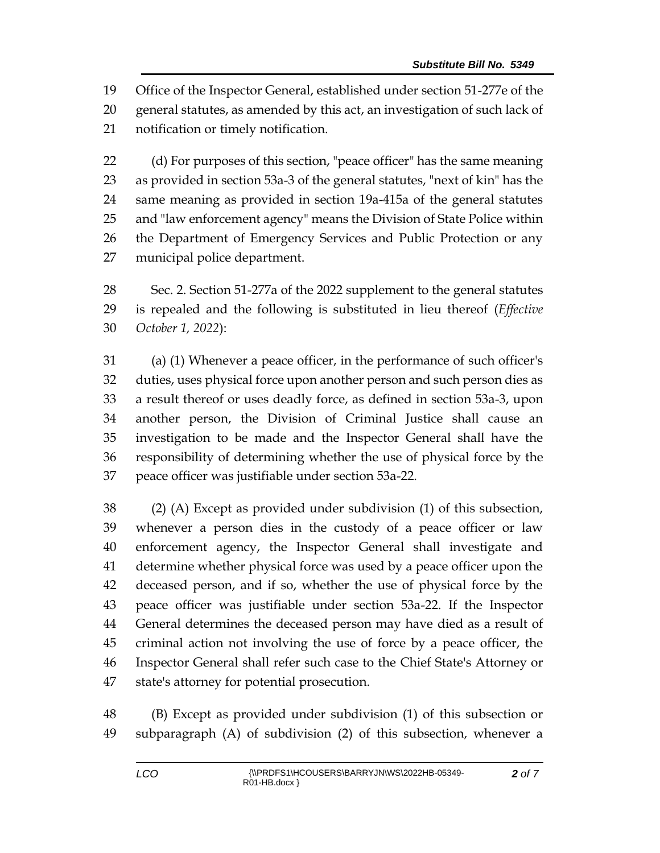Office of the Inspector General, established under section 51-277e of the general statutes, as amended by this act, an investigation of such lack of notification or timely notification.

 (d) For purposes of this section, "peace officer" has the same meaning as provided in section 53a-3 of the general statutes, "next of kin" has the same meaning as provided in section 19a-415a of the general statutes and "law enforcement agency" means the Division of State Police within the Department of Emergency Services and Public Protection or any municipal police department.

 Sec. 2. Section 51-277a of the 2022 supplement to the general statutes is repealed and the following is substituted in lieu thereof (*Effective October 1, 2022*):

 (a) (1) Whenever a peace officer, in the performance of such officer's duties, uses physical force upon another person and such person dies as a result thereof or uses deadly force, as defined in section 53a-3, upon another person, the Division of Criminal Justice shall cause an investigation to be made and the Inspector General shall have the responsibility of determining whether the use of physical force by the peace officer was justifiable under section 53a-22.

 (2) (A) Except as provided under subdivision (1) of this subsection, whenever a person dies in the custody of a peace officer or law enforcement agency, the Inspector General shall investigate and determine whether physical force was used by a peace officer upon the deceased person, and if so, whether the use of physical force by the peace officer was justifiable under section 53a-22. If the Inspector General determines the deceased person may have died as a result of criminal action not involving the use of force by a peace officer, the Inspector General shall refer such case to the Chief State's Attorney or state's attorney for potential prosecution.

 (B) Except as provided under subdivision (1) of this subsection or subparagraph (A) of subdivision (2) of this subsection, whenever a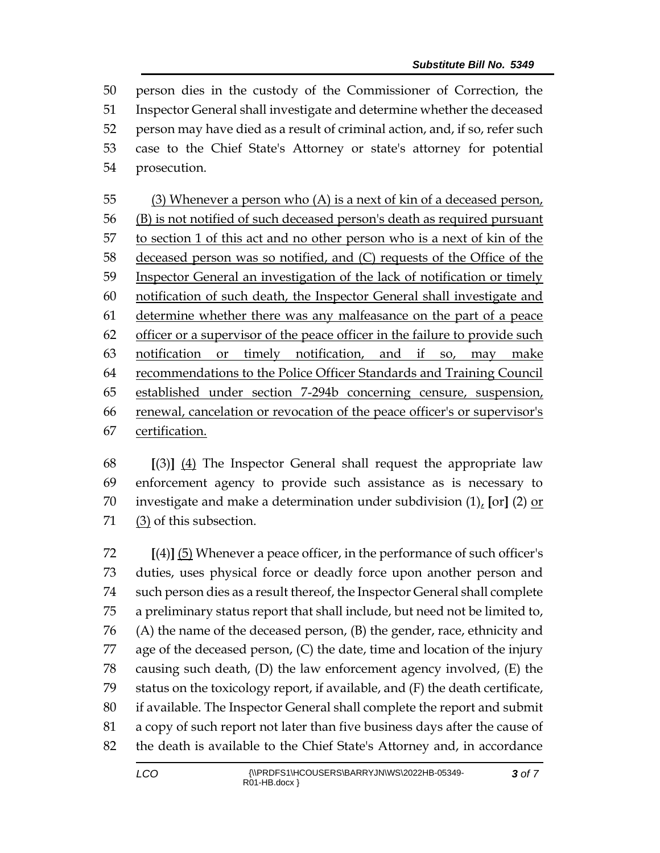person dies in the custody of the Commissioner of Correction, the Inspector General shall investigate and determine whether the deceased person may have died as a result of criminal action, and, if so, refer such case to the Chief State's Attorney or state's attorney for potential prosecution.

 (3) Whenever a person who (A) is a next of kin of a deceased person, (B) is not notified of such deceased person's death as required pursuant to section 1 of this act and no other person who is a next of kin of the deceased person was so notified, and (C) requests of the Office of the 59 Inspector General an investigation of the lack of notification or timely notification of such death, the Inspector General shall investigate and determine whether there was any malfeasance on the part of a peace officer or a supervisor of the peace officer in the failure to provide such notification or timely notification, and if so, may make recommendations to the Police Officer Standards and Training Council established under section 7-294b concerning censure, suspension, renewal, cancelation or revocation of the peace officer's or supervisor's certification.

 **[**(3)**]** (4) The Inspector General shall request the appropriate law enforcement agency to provide such assistance as is necessary to investigate and make a determination under subdivision (1), **[**or**]** (2) or (3) of this subsection.

 **[**(4)**]** (5) Whenever a peace officer, in the performance of such officer's duties, uses physical force or deadly force upon another person and such person dies as a result thereof, the Inspector General shall complete a preliminary status report that shall include, but need not be limited to, (A) the name of the deceased person, (B) the gender, race, ethnicity and age of the deceased person, (C) the date, time and location of the injury causing such death, (D) the law enforcement agency involved, (E) the status on the toxicology report, if available, and (F) the death certificate, if available. The Inspector General shall complete the report and submit a copy of such report not later than five business days after the cause of the death is available to the Chief State's Attorney and, in accordance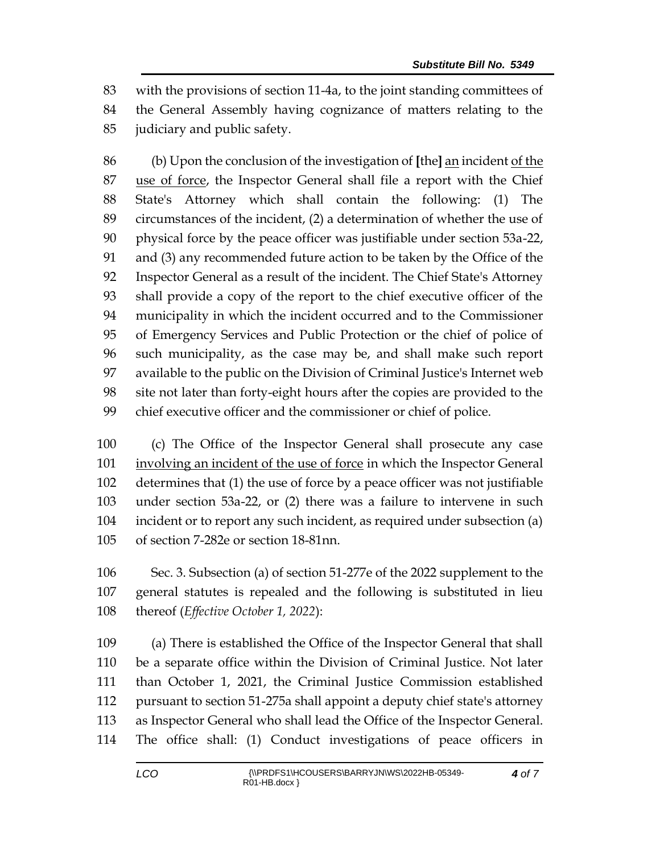with the provisions of section 11-4a, to the joint standing committees of the General Assembly having cognizance of matters relating to the

judiciary and public safety.

 (b) Upon the conclusion of the investigation of **[**the**]** an incident of the 87 use of force, the Inspector General shall file a report with the Chief State's Attorney which shall contain the following: (1) The circumstances of the incident, (2) a determination of whether the use of physical force by the peace officer was justifiable under section 53a-22, and (3) any recommended future action to be taken by the Office of the Inspector General as a result of the incident. The Chief State's Attorney shall provide a copy of the report to the chief executive officer of the municipality in which the incident occurred and to the Commissioner of Emergency Services and Public Protection or the chief of police of such municipality, as the case may be, and shall make such report available to the public on the Division of Criminal Justice's Internet web site not later than forty-eight hours after the copies are provided to the chief executive officer and the commissioner or chief of police.

 (c) The Office of the Inspector General shall prosecute any case involving an incident of the use of force in which the Inspector General determines that (1) the use of force by a peace officer was not justifiable under section 53a-22, or (2) there was a failure to intervene in such incident or to report any such incident, as required under subsection (a) of section 7-282e or section 18-81nn.

 Sec. 3. Subsection (a) of section 51-277e of the 2022 supplement to the general statutes is repealed and the following is substituted in lieu thereof (*Effective October 1, 2022*):

 (a) There is established the Office of the Inspector General that shall be a separate office within the Division of Criminal Justice. Not later than October 1, 2021, the Criminal Justice Commission established pursuant to section 51-275a shall appoint a deputy chief state's attorney as Inspector General who shall lead the Office of the Inspector General. The office shall: (1) Conduct investigations of peace officers in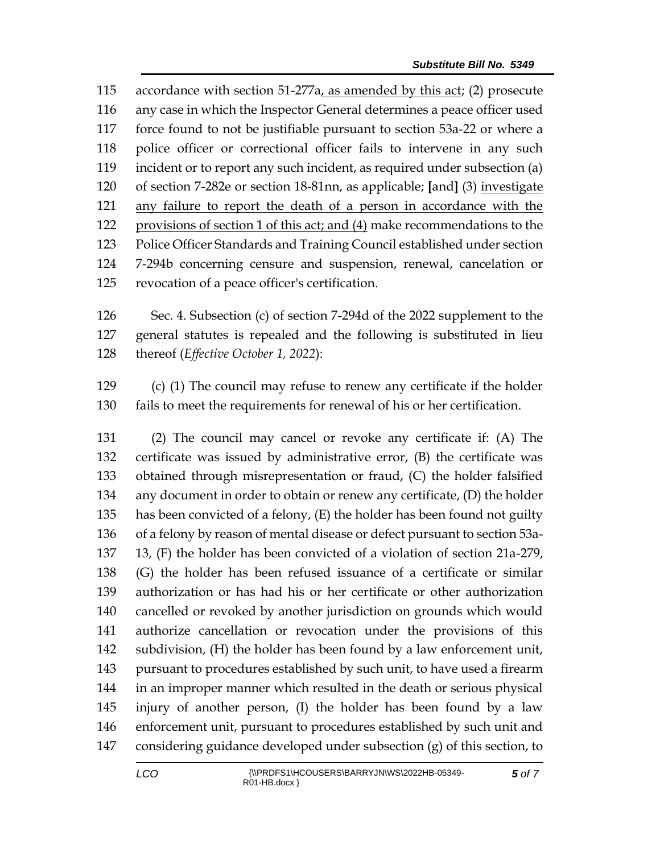accordance with section 51-277a, as amended by this act; (2) prosecute any case in which the Inspector General determines a peace officer used force found to not be justifiable pursuant to section 53a-22 or where a police officer or correctional officer fails to intervene in any such incident or to report any such incident, as required under subsection (a) of section 7-282e or section 18-81nn, as applicable; **[**and**]** (3) investigate any failure to report the death of a person in accordance with the provisions of section 1 of this act; and (4) make recommendations to the Police Officer Standards and Training Council established under section 7-294b concerning censure and suspension, renewal, cancelation or revocation of a peace officer's certification.

 Sec. 4. Subsection (c) of section 7-294d of the 2022 supplement to the general statutes is repealed and the following is substituted in lieu thereof (*Effective October 1, 2022*):

 (c) (1) The council may refuse to renew any certificate if the holder fails to meet the requirements for renewal of his or her certification.

 (2) The council may cancel or revoke any certificate if: (A) The certificate was issued by administrative error, (B) the certificate was obtained through misrepresentation or fraud, (C) the holder falsified any document in order to obtain or renew any certificate, (D) the holder has been convicted of a felony, (E) the holder has been found not guilty of a felony by reason of mental disease or defect pursuant to section 53a- 13, (F) the holder has been convicted of a violation of section 21a-279, (G) the holder has been refused issuance of a certificate or similar authorization or has had his or her certificate or other authorization cancelled or revoked by another jurisdiction on grounds which would authorize cancellation or revocation under the provisions of this subdivision, (H) the holder has been found by a law enforcement unit, pursuant to procedures established by such unit, to have used a firearm in an improper manner which resulted in the death or serious physical injury of another person, (I) the holder has been found by a law enforcement unit, pursuant to procedures established by such unit and considering guidance developed under subsection (g) of this section, to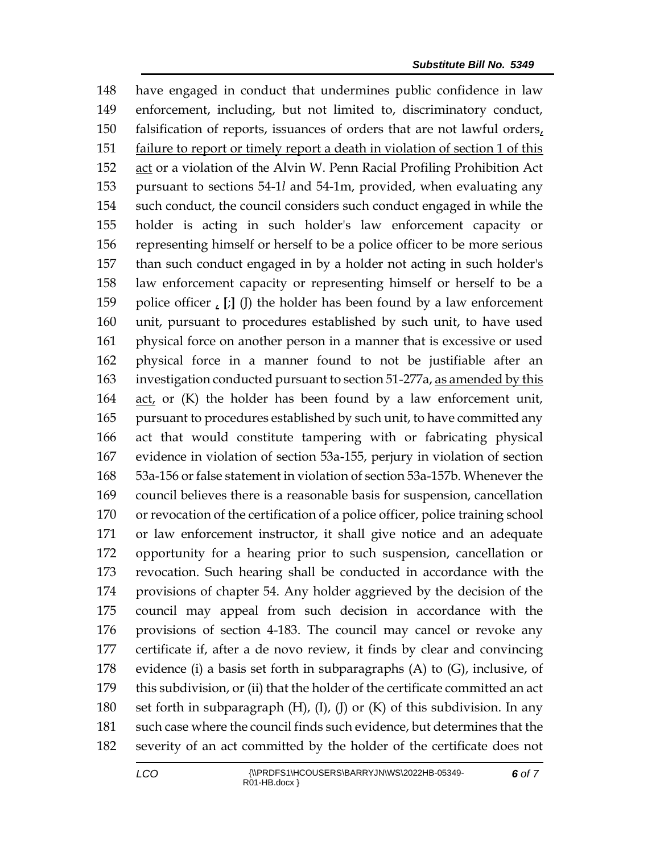have engaged in conduct that undermines public confidence in law enforcement, including, but not limited to, discriminatory conduct, falsification of reports, issuances of orders that are not lawful orders, failure to report or timely report a death in violation of section 1 of this 152 act or a violation of the Alvin W. Penn Racial Profiling Prohibition Act pursuant to sections 54-1*l* and 54-1m, provided, when evaluating any such conduct, the council considers such conduct engaged in while the holder is acting in such holder's law enforcement capacity or representing himself or herself to be a police officer to be more serious than such conduct engaged in by a holder not acting in such holder's law enforcement capacity or representing himself or herself to be a police officer , **[**;**]** (J) the holder has been found by a law enforcement unit, pursuant to procedures established by such unit, to have used physical force on another person in a manner that is excessive or used physical force in a manner found to not be justifiable after an investigation conducted pursuant to section 51-277a, as amended by this act, or (K) the holder has been found by a law enforcement unit, pursuant to procedures established by such unit, to have committed any act that would constitute tampering with or fabricating physical evidence in violation of section 53a-155, perjury in violation of section 53a-156 or false statement in violation of section 53a-157b. Whenever the council believes there is a reasonable basis for suspension, cancellation or revocation of the certification of a police officer, police training school or law enforcement instructor, it shall give notice and an adequate opportunity for a hearing prior to such suspension, cancellation or revocation. Such hearing shall be conducted in accordance with the provisions of chapter 54. Any holder aggrieved by the decision of the council may appeal from such decision in accordance with the provisions of section 4-183. The council may cancel or revoke any certificate if, after a de novo review, it finds by clear and convincing 178 evidence (i) a basis set forth in subparagraphs  $(A)$  to  $(G)$ , inclusive, of this subdivision, or (ii) that the holder of the certificate committed an act set forth in subparagraph (H), (I), (J) or (K) of this subdivision. In any such case where the council finds such evidence, but determines that the severity of an act committed by the holder of the certificate does not